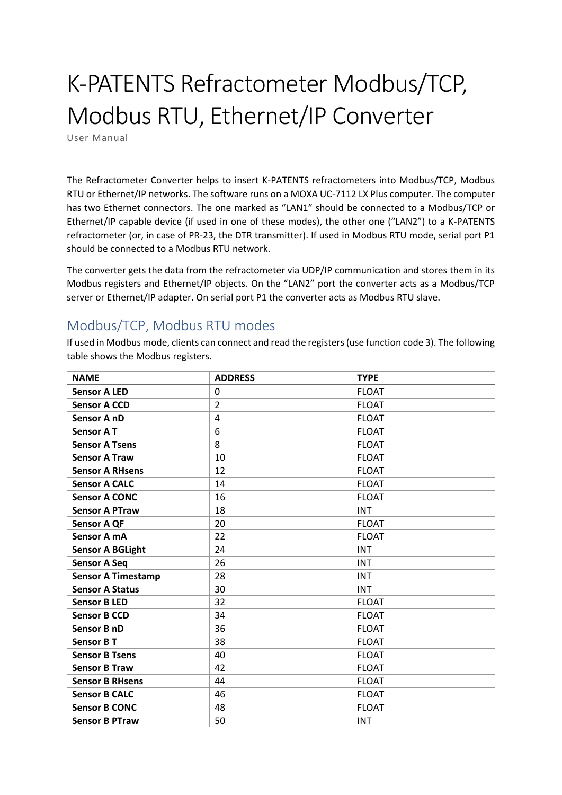## K-PATENTS Refractometer Modbus/TCP, Modbus RTU, Ethernet/IP Converter

User Manual

The Refractometer Converter helps to insert K-PATENTS refractometers into Modbus/TCP, Modbus RTU or Ethernet/IP networks. The software runs on a MOXA UC-7112 LX Plus computer. The computer has two Ethernet connectors. The one marked as "LAN1" should be connected to a Modbus/TCP or Ethernet/IP capable device (if used in one of these modes), the other one ("LAN2") to a K-PATENTS refractometer (or, in case of PR-23, the DTR transmitter). If used in Modbus RTU mode, serial port P1 should be connected to a Modbus RTU network.

The converter gets the data from the refractometer via UDP/IP communication and stores them in its Modbus registers and Ethernet/IP objects. On the "LAN2" port the converter acts as a Modbus/TCP server or Ethernet/IP adapter. On serial port P1 the converter acts as Modbus RTU slave.

## Modbus/TCP, Modbus RTU modes

If used in Modbus mode, clients can connect and read the registers (use function code 3). The following table shows the Modbus registers.

| <b>NAME</b>               | <b>ADDRESS</b> | <b>TYPE</b>  |
|---------------------------|----------------|--------------|
| <b>Sensor A LED</b>       | $\mathbf{0}$   | <b>FLOAT</b> |
| <b>Sensor A CCD</b>       | $\overline{2}$ | <b>FLOAT</b> |
| Sensor A nD               | 4              | <b>FLOAT</b> |
| <b>Sensor AT</b>          | 6              | <b>FLOAT</b> |
| <b>Sensor A Tsens</b>     | 8              | <b>FLOAT</b> |
| <b>Sensor A Traw</b>      | 10             | <b>FLOAT</b> |
| <b>Sensor A RHsens</b>    | 12             | <b>FLOAT</b> |
| <b>Sensor A CALC</b>      | 14             | <b>FLOAT</b> |
| <b>Sensor A CONC</b>      | 16             | <b>FLOAT</b> |
| <b>Sensor A PTraw</b>     | 18             | <b>INT</b>   |
| <b>Sensor A QF</b>        | 20             | <b>FLOAT</b> |
| Sensor A mA               | 22             | <b>FLOAT</b> |
| <b>Sensor A BGLight</b>   | 24             | <b>INT</b>   |
| <b>Sensor A Seq</b>       | 26             | <b>INT</b>   |
| <b>Sensor A Timestamp</b> | 28             | <b>INT</b>   |
| <b>Sensor A Status</b>    | 30             | <b>INT</b>   |
| <b>Sensor B LED</b>       | 32             | <b>FLOAT</b> |
| <b>Sensor B CCD</b>       | 34             | <b>FLOAT</b> |
| Sensor B nD               | 36             | <b>FLOAT</b> |
| Sensor B T                | 38             | <b>FLOAT</b> |
| <b>Sensor B Tsens</b>     | 40             | <b>FLOAT</b> |
| <b>Sensor B Traw</b>      | 42             | <b>FLOAT</b> |
| <b>Sensor B RHsens</b>    | 44             | <b>FLOAT</b> |
| <b>Sensor B CALC</b>      | 46             | <b>FLOAT</b> |
| <b>Sensor B CONC</b>      | 48             | <b>FLOAT</b> |
| <b>Sensor B PTraw</b>     | 50             | <b>INT</b>   |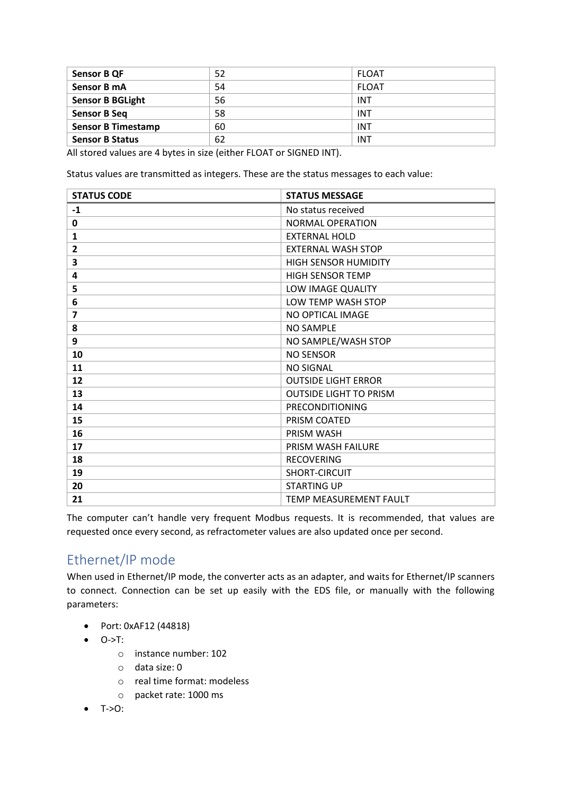| <b>Sensor B QF</b>        | 52 | FLOAT        |
|---------------------------|----|--------------|
| Sensor B mA               | 54 | <b>FLOAT</b> |
| <b>Sensor B BGLight</b>   | 56 | <b>INT</b>   |
| <b>Sensor B Seq</b>       | 58 | <b>INT</b>   |
| <b>Sensor B Timestamp</b> | 60 | <b>INT</b>   |
| <b>Sensor B Status</b>    | 62 | <b>INT</b>   |

All stored values are 4 bytes in size (either FLOAT or SIGNED INT).

Status values are transmitted as integers. These are the status messages to each value:

| <b>STATUS CODE</b> | <b>STATUS MESSAGE</b>         |
|--------------------|-------------------------------|
| $-1$               | No status received            |
| 0                  | NORMAL OPERATION              |
| 1                  | <b>EXTERNAL HOLD</b>          |
| $\overline{2}$     | <b>EXTERNAL WASH STOP</b>     |
| 3                  | <b>HIGH SENSOR HUMIDITY</b>   |
| 4                  | <b>HIGH SENSOR TEMP</b>       |
| 5                  | LOW IMAGE QUALITY             |
| 6                  | LOW TEMP WASH STOP            |
| $\overline{ }$     | NO OPTICAL IMAGE              |
| 8                  | <b>NO SAMPLE</b>              |
| 9                  | NO SAMPLE/WASH STOP           |
| 10                 | <b>NO SENSOR</b>              |
| 11                 | <b>NO SIGNAL</b>              |
| 12                 | <b>OUTSIDE LIGHT ERROR</b>    |
| 13                 | <b>OUTSIDE LIGHT TO PRISM</b> |
| 14                 | PRECONDITIONING               |
| 15                 | PRISM COATED                  |
| 16                 | PRISM WASH                    |
| 17                 | PRISM WASH FAILURE            |
| 18                 | <b>RECOVERING</b>             |
| 19                 | SHORT-CIRCUIT                 |
| 20                 | <b>STARTING UP</b>            |
| 21                 | TEMP MEASUREMENT FAULT        |

The computer can't handle very frequent Modbus requests. It is recommended, that values are requested once every second, as refractometer values are also updated once per second.

## Ethernet/IP mode

When used in Ethernet/IP mode, the converter acts as an adapter, and waits for Ethernet/IP scanners to connect. Connection can be set up easily with the EDS file, or manually with the following parameters:

- Port: 0xAF12 (44818)
- O->T:
	- o instance number: 102
	- o data size: 0
	- o real time format: modeless
	- o packet rate: 1000 ms
- $\bullet$  T->O: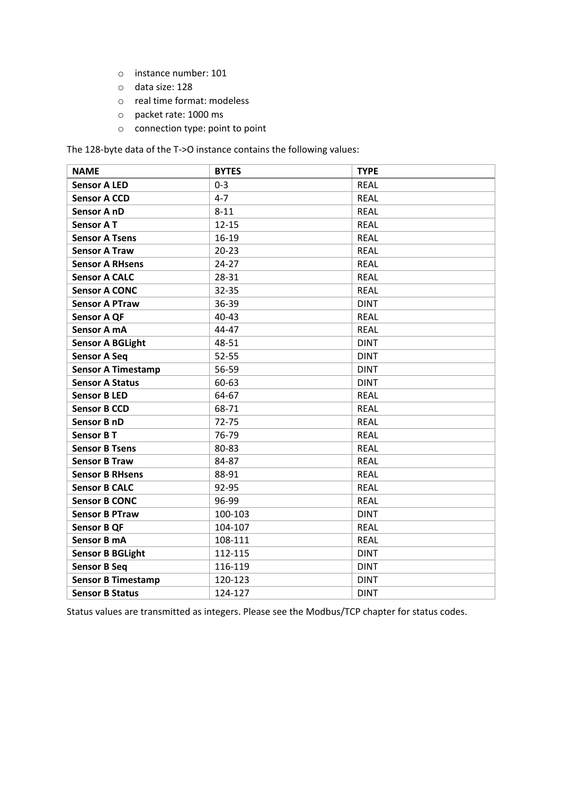- o instance number: 101
- o data size: 128
- o real time format: modeless
- o packet rate: 1000 ms
- o connection type: point to point

The 128-byte data of the T->O instance contains the following values:

| <b>NAME</b>               | <b>BYTES</b> | <b>TYPE</b> |
|---------------------------|--------------|-------------|
| <b>Sensor A LED</b>       | $0 - 3$      | <b>REAL</b> |
| <b>Sensor A CCD</b>       | $4 - 7$      | <b>REAL</b> |
| Sensor A nD               | $8 - 11$     | <b>REAL</b> |
| <b>Sensor AT</b>          | $12 - 15$    | <b>REAL</b> |
| <b>Sensor A Tsens</b>     | $16-19$      | <b>REAL</b> |
| <b>Sensor A Traw</b>      | $20 - 23$    | <b>REAL</b> |
| <b>Sensor A RHsens</b>    | $24 - 27$    | <b>REAL</b> |
| <b>Sensor A CALC</b>      | 28-31        | <b>REAL</b> |
| <b>Sensor A CONC</b>      | $32 - 35$    | <b>REAL</b> |
| <b>Sensor A PTraw</b>     | 36-39        | <b>DINT</b> |
| <b>Sensor A QF</b>        | 40-43        | <b>REAL</b> |
| Sensor A mA               | 44-47        | <b>REAL</b> |
| <b>Sensor A BGLight</b>   | 48-51        | <b>DINT</b> |
| <b>Sensor A Seq</b>       | $52 - 55$    | <b>DINT</b> |
| <b>Sensor A Timestamp</b> | 56-59        | <b>DINT</b> |
| <b>Sensor A Status</b>    | 60-63        | <b>DINT</b> |
| <b>Sensor B LED</b>       | 64-67        | <b>REAL</b> |
| <b>Sensor B CCD</b>       | 68-71        | <b>REAL</b> |
| Sensor B nD               | $72 - 75$    | <b>REAL</b> |
| <b>Sensor B T</b>         | 76-79        | <b>REAL</b> |
| <b>Sensor B Tsens</b>     | 80-83        | <b>REAL</b> |
| <b>Sensor B Traw</b>      | 84-87        | <b>REAL</b> |
| <b>Sensor B RHsens</b>    | 88-91        | <b>REAL</b> |
| <b>Sensor B CALC</b>      | 92-95        | <b>REAL</b> |
| <b>Sensor B CONC</b>      | 96-99        | <b>REAL</b> |
| <b>Sensor B PTraw</b>     | 100-103      | <b>DINT</b> |
| <b>Sensor B QF</b>        | 104-107      | <b>REAL</b> |
| Sensor B mA               | 108-111      | <b>REAL</b> |
| <b>Sensor B BGLight</b>   | 112-115      | <b>DINT</b> |
| <b>Sensor B Seq</b>       | 116-119      | <b>DINT</b> |
| <b>Sensor B Timestamp</b> | 120-123      | <b>DINT</b> |
| <b>Sensor B Status</b>    | 124-127      | <b>DINT</b> |

Status values are transmitted as integers. Please see the Modbus/TCP chapter for status codes.